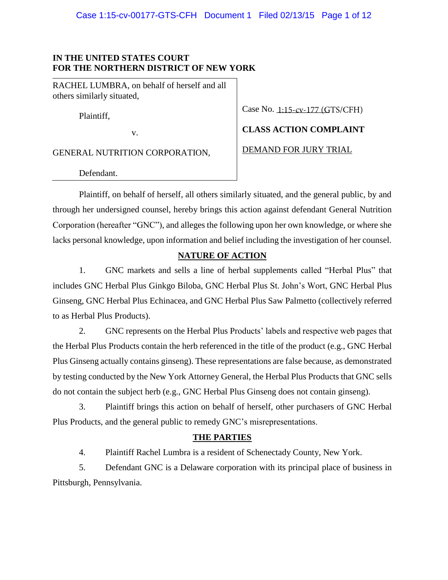## **IN THE UNITED STATES COURT FOR THE NORTHERN DISTRICT OF NEW YORK**

RACHEL LUMBRA, on behalf of herself and all others similarly situated,

Plaintiff,

v.

GENERAL NUTRITION CORPORATION,

Case No. 1:15-cv-177 (GTS/CFH)

**CLASS ACTION COMPLAINT**

DEMAND FOR JURY TRIAL

Defendant.

Plaintiff, on behalf of herself, all others similarly situated, and the general public, by and through her undersigned counsel, hereby brings this action against defendant General Nutrition Corporation (hereafter "GNC"), and alleges the following upon her own knowledge, or where she lacks personal knowledge, upon information and belief including the investigation of her counsel.

## **NATURE OF ACTION**

1. GNC markets and sells a line of herbal supplements called "Herbal Plus" that includes GNC Herbal Plus Ginkgo Biloba, GNC Herbal Plus St. John's Wort, GNC Herbal Plus Ginseng, GNC Herbal Plus Echinacea, and GNC Herbal Plus Saw Palmetto (collectively referred to as Herbal Plus Products).

2. GNC represents on the Herbal Plus Products' labels and respective web pages that the Herbal Plus Products contain the herb referenced in the title of the product (e.g., GNC Herbal Plus Ginseng actually contains ginseng). These representations are false because, as demonstrated by testing conducted by the New York Attorney General, the Herbal Plus Products that GNC sells do not contain the subject herb (e.g., GNC Herbal Plus Ginseng does not contain ginseng).

3. Plaintiff brings this action on behalf of herself, other purchasers of GNC Herbal Plus Products, and the general public to remedy GNC's misrepresentations.

## **THE PARTIES**

4. Plaintiff Rachel Lumbra is a resident of Schenectady County, New York.

5. Defendant GNC is a Delaware corporation with its principal place of business in Pittsburgh, Pennsylvania.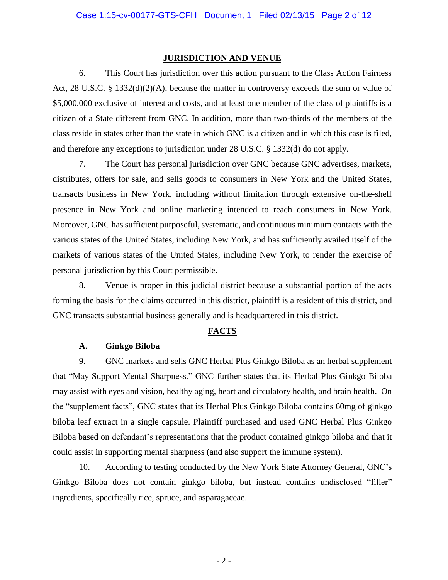### **JURISDICTION AND VENUE**

6. This Court has jurisdiction over this action pursuant to the Class Action Fairness Act, 28 U.S.C. § 1332(d)(2)(A), because the matter in controversy exceeds the sum or value of \$5,000,000 exclusive of interest and costs, and at least one member of the class of plaintiffs is a citizen of a State different from GNC. In addition, more than two-thirds of the members of the class reside in states other than the state in which GNC is a citizen and in which this case is filed, and therefore any exceptions to jurisdiction under 28 U.S.C. § 1332(d) do not apply.

7. The Court has personal jurisdiction over GNC because GNC advertises, markets, distributes, offers for sale, and sells goods to consumers in New York and the United States, transacts business in New York, including without limitation through extensive on-the-shelf presence in New York and online marketing intended to reach consumers in New York. Moreover, GNC has sufficient purposeful, systematic, and continuous minimum contacts with the various states of the United States, including New York, and has sufficiently availed itself of the markets of various states of the United States, including New York, to render the exercise of personal jurisdiction by this Court permissible.

8. Venue is proper in this judicial district because a substantial portion of the acts forming the basis for the claims occurred in this district, plaintiff is a resident of this district, and GNC transacts substantial business generally and is headquartered in this district.

## **FACTS**

#### **A. Ginkgo Biloba**

9. GNC markets and sells GNC Herbal Plus Ginkgo Biloba as an herbal supplement that "May Support Mental Sharpness." GNC further states that its Herbal Plus Ginkgo Biloba may assist with eyes and vision, healthy aging, heart and circulatory health, and brain health. On the "supplement facts", GNC states that its Herbal Plus Ginkgo Biloba contains 60mg of ginkgo biloba leaf extract in a single capsule. Plaintiff purchased and used GNC Herbal Plus Ginkgo Biloba based on defendant's representations that the product contained ginkgo biloba and that it could assist in supporting mental sharpness (and also support the immune system).

10. According to testing conducted by the New York State Attorney General, GNC's Ginkgo Biloba does not contain ginkgo biloba, but instead contains undisclosed "filler" ingredients, specifically rice, spruce, and asparagaceae.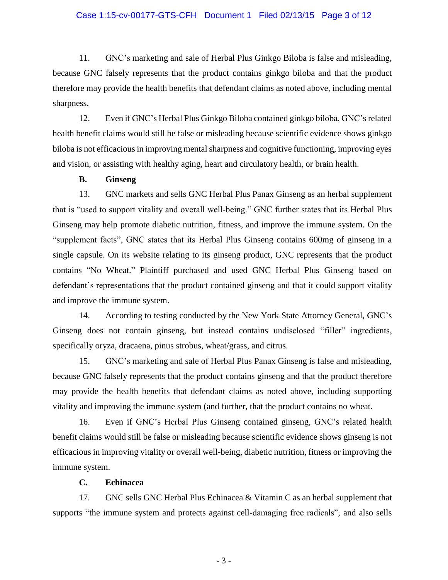## Case 1:15-cv-00177-GTS-CFH Document 1 Filed 02/13/15 Page 3 of 12

11. GNC's marketing and sale of Herbal Plus Ginkgo Biloba is false and misleading, because GNC falsely represents that the product contains ginkgo biloba and that the product therefore may provide the health benefits that defendant claims as noted above, including mental sharpness.

12. Even if GNC's Herbal Plus Ginkgo Biloba contained ginkgo biloba, GNC's related health benefit claims would still be false or misleading because scientific evidence shows ginkgo biloba is not efficacious in improving mental sharpness and cognitive functioning, improving eyes and vision, or assisting with healthy aging, heart and circulatory health, or brain health.

## **B. Ginseng**

13. GNC markets and sells GNC Herbal Plus Panax Ginseng as an herbal supplement that is "used to support vitality and overall well-being." GNC further states that its Herbal Plus Ginseng may help promote diabetic nutrition, fitness, and improve the immune system. On the "supplement facts", GNC states that its Herbal Plus Ginseng contains 600mg of ginseng in a single capsule. On its website relating to its ginseng product, GNC represents that the product contains "No Wheat." Plaintiff purchased and used GNC Herbal Plus Ginseng based on defendant's representations that the product contained ginseng and that it could support vitality and improve the immune system.

14. According to testing conducted by the New York State Attorney General, GNC's Ginseng does not contain ginseng, but instead contains undisclosed "filler" ingredients, specifically oryza, dracaena, pinus strobus, wheat/grass, and citrus.

15. GNC's marketing and sale of Herbal Plus Panax Ginseng is false and misleading, because GNC falsely represents that the product contains ginseng and that the product therefore may provide the health benefits that defendant claims as noted above, including supporting vitality and improving the immune system (and further, that the product contains no wheat.

16. Even if GNC's Herbal Plus Ginseng contained ginseng, GNC's related health benefit claims would still be false or misleading because scientific evidence shows ginseng is not efficacious in improving vitality or overall well-being, diabetic nutrition, fitness or improving the immune system.

## **C. Echinacea**

17. GNC sells GNC Herbal Plus Echinacea & Vitamin C as an herbal supplement that supports "the immune system and protects against cell-damaging free radicals", and also sells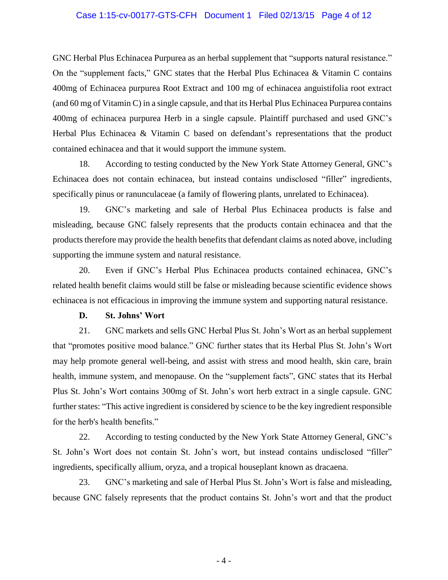#### Case 1:15-cv-00177-GTS-CFH Document 1 Filed 02/13/15 Page 4 of 12

GNC Herbal Plus Echinacea Purpurea as an herbal supplement that "supports natural resistance." On the "supplement facts," GNC states that the Herbal Plus Echinacea  $\&$  Vitamin C contains 400mg of Echinacea purpurea Root Extract and 100 mg of echinacea anguistifolia root extract (and 60 mg of Vitamin C) in a single capsule, and that its Herbal Plus Echinacea Purpurea contains 400mg of echinacea purpurea Herb in a single capsule. Plaintiff purchased and used GNC's Herbal Plus Echinacea & Vitamin C based on defendant's representations that the product contained echinacea and that it would support the immune system.

18. According to testing conducted by the New York State Attorney General, GNC's Echinacea does not contain echinacea, but instead contains undisclosed "filler" ingredients, specifically pinus or ranunculaceae (a family of flowering plants, unrelated to Echinacea).

19. GNC's marketing and sale of Herbal Plus Echinacea products is false and misleading, because GNC falsely represents that the products contain echinacea and that the products therefore may provide the health benefits that defendant claims as noted above, including supporting the immune system and natural resistance.

20. Even if GNC's Herbal Plus Echinacea products contained echinacea, GNC's related health benefit claims would still be false or misleading because scientific evidence shows echinacea is not efficacious in improving the immune system and supporting natural resistance.

## **D. St. Johns' Wort**

21. GNC markets and sells GNC Herbal Plus St. John's Wort as an herbal supplement that "promotes positive mood balance." GNC further states that its Herbal Plus St. John's Wort may help promote general well-being, and assist with stress and mood health, skin care, brain health, immune system, and menopause. On the "supplement facts", GNC states that its Herbal Plus St. John's Wort contains 300mg of St. John's wort herb extract in a single capsule. GNC further states: "This active ingredient is considered by science to be the key ingredient responsible for the herb's health benefits."

22. According to testing conducted by the New York State Attorney General, GNC's St. John's Wort does not contain St. John's wort, but instead contains undisclosed "filler" ingredients, specifically allium, oryza, and a tropical houseplant known as dracaena.

23. GNC's marketing and sale of Herbal Plus St. John's Wort is false and misleading, because GNC falsely represents that the product contains St. John's wort and that the product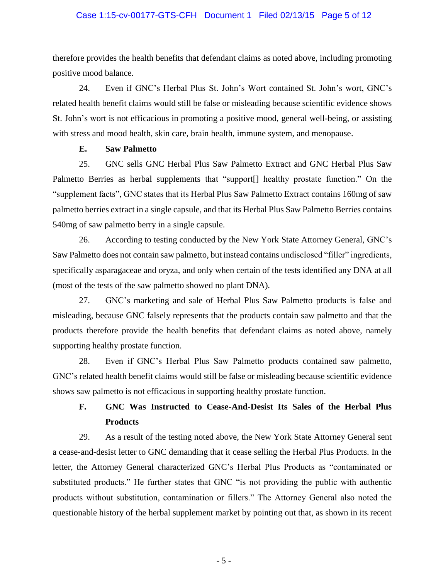## Case 1:15-cv-00177-GTS-CFH Document 1 Filed 02/13/15 Page 5 of 12

therefore provides the health benefits that defendant claims as noted above, including promoting positive mood balance.

24. Even if GNC's Herbal Plus St. John's Wort contained St. John's wort, GNC's related health benefit claims would still be false or misleading because scientific evidence shows St. John's wort is not efficacious in promoting a positive mood, general well-being, or assisting with stress and mood health, skin care, brain health, immune system, and menopause.

## **E. Saw Palmetto**

25. GNC sells GNC Herbal Plus Saw Palmetto Extract and GNC Herbal Plus Saw Palmetto Berries as herbal supplements that "support<sup>[]</sup> healthy prostate function." On the "supplement facts", GNC states that its Herbal Plus Saw Palmetto Extract contains 160mg of saw palmetto berries extract in a single capsule, and that its Herbal Plus Saw Palmetto Berries contains 540mg of saw palmetto berry in a single capsule.

26. According to testing conducted by the New York State Attorney General, GNC's Saw Palmetto does not contain saw palmetto, but instead contains undisclosed "filler" ingredients, specifically asparagaceae and oryza, and only when certain of the tests identified any DNA at all (most of the tests of the saw palmetto showed no plant DNA).

27. GNC's marketing and sale of Herbal Plus Saw Palmetto products is false and misleading, because GNC falsely represents that the products contain saw palmetto and that the products therefore provide the health benefits that defendant claims as noted above, namely supporting healthy prostate function.

28. Even if GNC's Herbal Plus Saw Palmetto products contained saw palmetto, GNC's related health benefit claims would still be false or misleading because scientific evidence shows saw palmetto is not efficacious in supporting healthy prostate function.

## **F. GNC Was Instructed to Cease-And-Desist Its Sales of the Herbal Plus Products**

29. As a result of the testing noted above, the New York State Attorney General sent a cease-and-desist letter to GNC demanding that it cease selling the Herbal Plus Products. In the letter, the Attorney General characterized GNC's Herbal Plus Products as "contaminated or substituted products." He further states that GNC "is not providing the public with authentic products without substitution, contamination or fillers." The Attorney General also noted the questionable history of the herbal supplement market by pointing out that, as shown in its recent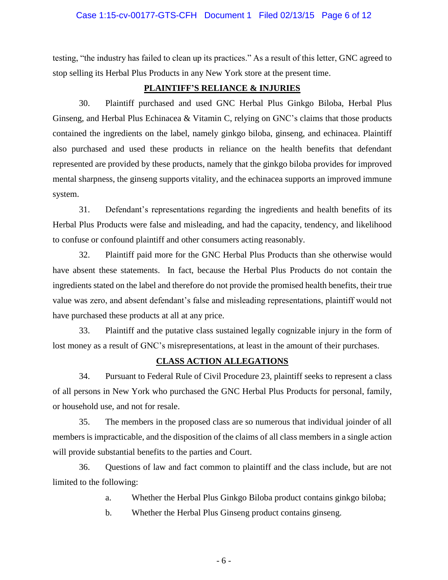## Case 1:15-cv-00177-GTS-CFH Document 1 Filed 02/13/15 Page 6 of 12

testing, "the industry has failed to clean up its practices." As a result of this letter, GNC agreed to stop selling its Herbal Plus Products in any New York store at the present time.

## **PLAINTIFF'S RELIANCE & INJURIES**

30. Plaintiff purchased and used GNC Herbal Plus Ginkgo Biloba, Herbal Plus Ginseng, and Herbal Plus Echinacea & Vitamin C, relying on GNC's claims that those products contained the ingredients on the label, namely ginkgo biloba, ginseng, and echinacea. Plaintiff also purchased and used these products in reliance on the health benefits that defendant represented are provided by these products, namely that the ginkgo biloba provides for improved mental sharpness, the ginseng supports vitality, and the echinacea supports an improved immune system.

31. Defendant's representations regarding the ingredients and health benefits of its Herbal Plus Products were false and misleading, and had the capacity, tendency, and likelihood to confuse or confound plaintiff and other consumers acting reasonably.

32. Plaintiff paid more for the GNC Herbal Plus Products than she otherwise would have absent these statements. In fact, because the Herbal Plus Products do not contain the ingredients stated on the label and therefore do not provide the promised health benefits, their true value was zero, and absent defendant's false and misleading representations, plaintiff would not have purchased these products at all at any price.

33. Plaintiff and the putative class sustained legally cognizable injury in the form of lost money as a result of GNC's misrepresentations, at least in the amount of their purchases.

#### **CLASS ACTION ALLEGATIONS**

34. Pursuant to Federal Rule of Civil Procedure 23, plaintiff seeks to represent a class of all persons in New York who purchased the GNC Herbal Plus Products for personal, family, or household use, and not for resale.

35. The members in the proposed class are so numerous that individual joinder of all members is impracticable, and the disposition of the claims of all class members in a single action will provide substantial benefits to the parties and Court.

36. Questions of law and fact common to plaintiff and the class include, but are not limited to the following:

a. Whether the Herbal Plus Ginkgo Biloba product contains ginkgo biloba;

b. Whether the Herbal Plus Ginseng product contains ginseng.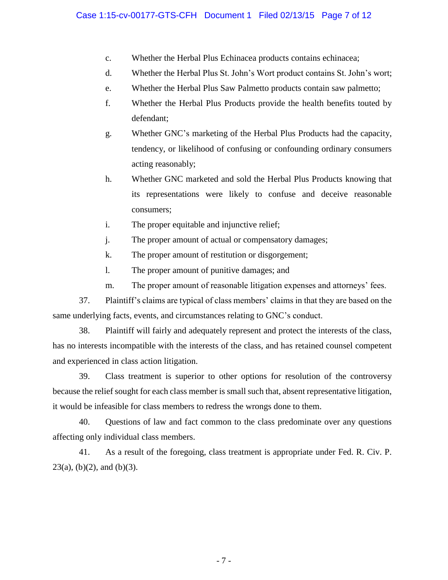- c. Whether the Herbal Plus Echinacea products contains echinacea;
- d. Whether the Herbal Plus St. John's Wort product contains St. John's wort;
- e. Whether the Herbal Plus Saw Palmetto products contain saw palmetto;
- f. Whether the Herbal Plus Products provide the health benefits touted by defendant;
- g. Whether GNC's marketing of the Herbal Plus Products had the capacity, tendency, or likelihood of confusing or confounding ordinary consumers acting reasonably;
- h. Whether GNC marketed and sold the Herbal Plus Products knowing that its representations were likely to confuse and deceive reasonable consumers;
- i. The proper equitable and injunctive relief;
- j. The proper amount of actual or compensatory damages;
- k. The proper amount of restitution or disgorgement;
- l. The proper amount of punitive damages; and
- m. The proper amount of reasonable litigation expenses and attorneys' fees.

37. Plaintiff's claims are typical of class members' claims in that they are based on the same underlying facts, events, and circumstances relating to GNC's conduct.

38. Plaintiff will fairly and adequately represent and protect the interests of the class, has no interests incompatible with the interests of the class, and has retained counsel competent and experienced in class action litigation.

39. Class treatment is superior to other options for resolution of the controversy because the relief sought for each class member is small such that, absent representative litigation, it would be infeasible for class members to redress the wrongs done to them.

40. Questions of law and fact common to the class predominate over any questions affecting only individual class members.

41. As a result of the foregoing, class treatment is appropriate under Fed. R. Civ. P.  $23(a)$ , (b)(2), and (b)(3).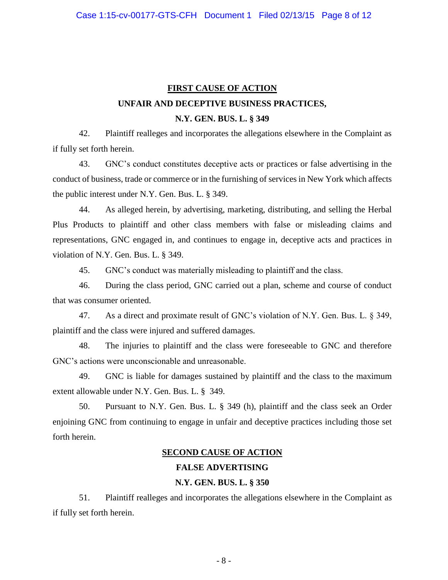## **FIRST CAUSE OF ACTION UNFAIR AND DECEPTIVE BUSINESS PRACTICES, N.Y. GEN. BUS. L. § 349**

42. Plaintiff realleges and incorporates the allegations elsewhere in the Complaint as if fully set forth herein.

43. GNC's conduct constitutes deceptive acts or practices or false advertising in the conduct of business, trade or commerce or in the furnishing of services in New York which affects the public interest under N.Y. Gen. Bus. L. § 349.

44. As alleged herein, by advertising, marketing, distributing, and selling the Herbal Plus Products to plaintiff and other class members with false or misleading claims and representations, GNC engaged in, and continues to engage in, deceptive acts and practices in violation of N.Y. Gen. Bus. L. § 349.

45. GNC's conduct was materially misleading to plaintiff and the class.

46. During the class period, GNC carried out a plan, scheme and course of conduct that was consumer oriented.

47. As a direct and proximate result of GNC's violation of N.Y. Gen. Bus. L. § 349, plaintiff and the class were injured and suffered damages.

48. The injuries to plaintiff and the class were foreseeable to GNC and therefore GNC's actions were unconscionable and unreasonable.

49. GNC is liable for damages sustained by plaintiff and the class to the maximum extent allowable under N.Y. Gen. Bus. L. § 349.

50. Pursuant to N.Y. Gen. Bus. L. § 349 (h), plaintiff and the class seek an Order enjoining GNC from continuing to engage in unfair and deceptive practices including those set forth herein.

## **SECOND CAUSE OF ACTION**

## **FALSE ADVERTISING**

## **N.Y. GEN. BUS. L. § 350**

51. Plaintiff realleges and incorporates the allegations elsewhere in the Complaint as if fully set forth herein.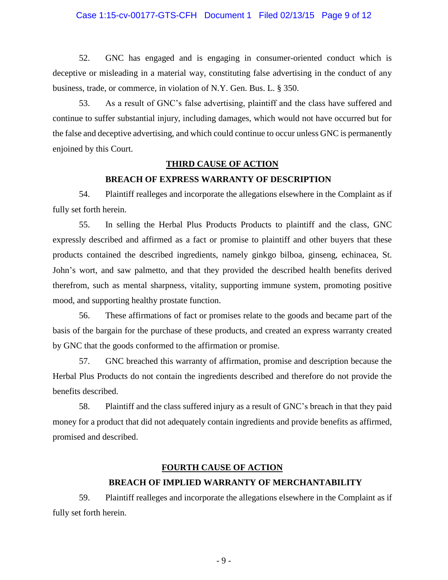## Case 1:15-cv-00177-GTS-CFH Document 1 Filed 02/13/15 Page 9 of 12

52. GNC has engaged and is engaging in consumer-oriented conduct which is deceptive or misleading in a material way, constituting false advertising in the conduct of any business, trade, or commerce, in violation of N.Y. Gen. Bus. L. § 350.

53. As a result of GNC's false advertising, plaintiff and the class have suffered and continue to suffer substantial injury, including damages, which would not have occurred but for the false and deceptive advertising, and which could continue to occur unless GNC is permanently enjoined by this Court.

#### **THIRD CAUSE OF ACTION**

## **BREACH OF EXPRESS WARRANTY OF DESCRIPTION**

54. Plaintiff realleges and incorporate the allegations elsewhere in the Complaint as if fully set forth herein.

55. In selling the Herbal Plus Products Products to plaintiff and the class, GNC expressly described and affirmed as a fact or promise to plaintiff and other buyers that these products contained the described ingredients, namely ginkgo bilboa, ginseng, echinacea, St. John's wort, and saw palmetto, and that they provided the described health benefits derived therefrom, such as mental sharpness, vitality, supporting immune system, promoting positive mood, and supporting healthy prostate function.

56. These affirmations of fact or promises relate to the goods and became part of the basis of the bargain for the purchase of these products, and created an express warranty created by GNC that the goods conformed to the affirmation or promise.

57. GNC breached this warranty of affirmation, promise and description because the Herbal Plus Products do not contain the ingredients described and therefore do not provide the benefits described.

58. Plaintiff and the class suffered injury as a result of GNC's breach in that they paid money for a product that did not adequately contain ingredients and provide benefits as affirmed, promised and described.

#### **FOURTH CAUSE OF ACTION**

## **BREACH OF IMPLIED WARRANTY OF MERCHANTABILITY**

59. Plaintiff realleges and incorporate the allegations elsewhere in the Complaint as if fully set forth herein.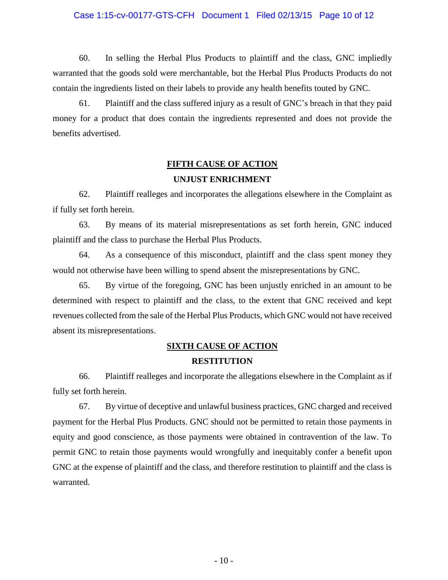## Case 1:15-cv-00177-GTS-CFH Document 1 Filed 02/13/15 Page 10 of 12

60. In selling the Herbal Plus Products to plaintiff and the class, GNC impliedly warranted that the goods sold were merchantable, but the Herbal Plus Products Products do not contain the ingredients listed on their labels to provide any health benefits touted by GNC.

61. Plaintiff and the class suffered injury as a result of GNC's breach in that they paid money for a product that does contain the ingredients represented and does not provide the benefits advertised.

## **FIFTH CAUSE OF ACTION UNJUST ENRICHMENT**

62. Plaintiff realleges and incorporates the allegations elsewhere in the Complaint as if fully set forth herein.

63. By means of its material misrepresentations as set forth herein, GNC induced plaintiff and the class to purchase the Herbal Plus Products.

64. As a consequence of this misconduct, plaintiff and the class spent money they would not otherwise have been willing to spend absent the misrepresentations by GNC.

65. By virtue of the foregoing, GNC has been unjustly enriched in an amount to be determined with respect to plaintiff and the class, to the extent that GNC received and kept revenues collected from the sale of the Herbal Plus Products, which GNC would not have received absent its misrepresentations.

## **SIXTH CAUSE OF ACTION RESTITUTION**

66. Plaintiff realleges and incorporate the allegations elsewhere in the Complaint as if fully set forth herein.

67. By virtue of deceptive and unlawful business practices, GNC charged and received payment for the Herbal Plus Products. GNC should not be permitted to retain those payments in equity and good conscience, as those payments were obtained in contravention of the law. To permit GNC to retain those payments would wrongfully and inequitably confer a benefit upon GNC at the expense of plaintiff and the class, and therefore restitution to plaintiff and the class is warranted.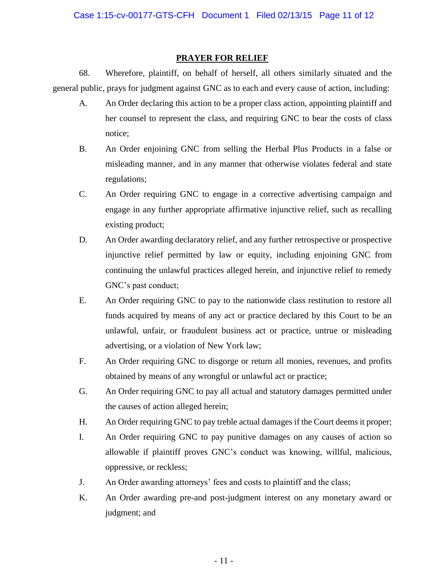## **PRAYER FOR RELIEF**

68. Wherefore, plaintiff, on behalf of herself, all others similarly situated and the general public, prays for judgment against GNC as to each and every cause of action, including:

- A. An Order declaring this action to be a proper class action, appointing plaintiff and her counsel to represent the class, and requiring GNC to bear the costs of class notice;
- B. An Order enjoining GNC from selling the Herbal Plus Products in a false or misleading manner, and in any manner that otherwise violates federal and state regulations;
- C. An Order requiring GNC to engage in a corrective advertising campaign and engage in any further appropriate affirmative injunctive relief, such as recalling existing product;
- D. An Order awarding declaratory relief, and any further retrospective or prospective injunctive relief permitted by law or equity, including enjoining GNC from continuing the unlawful practices alleged herein, and injunctive relief to remedy GNC's past conduct;
- E. An Order requiring GNC to pay to the nationwide class restitution to restore all funds acquired by means of any act or practice declared by this Court to be an unlawful, unfair, or fraudulent business act or practice, untrue or misleading advertising, or a violation of New York law;
- F. An Order requiring GNC to disgorge or return all monies, revenues, and profits obtained by means of any wrongful or unlawful act or practice;
- G. An Order requiring GNC to pay all actual and statutory damages permitted under the causes of action alleged herein;
- H. An Order requiring GNC to pay treble actual damages if the Court deems it proper;
- I. An Order requiring GNC to pay punitive damages on any causes of action so allowable if plaintiff proves GNC's conduct was knowing, willful, malicious, oppressive, or reckless;
- J. An Order awarding attorneys' fees and costs to plaintiff and the class;
- K. An Order awarding pre-and post-judgment interest on any monetary award or judgment; and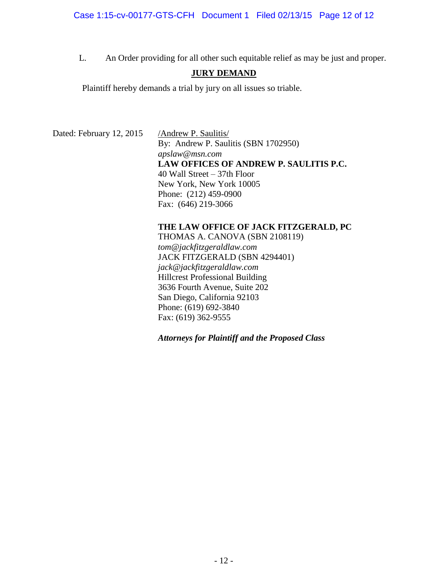L. An Order providing for all other such equitable relief as may be just and proper.

## **JURY DEMAND**

Plaintiff hereby demands a trial by jury on all issues so triable.

Dated: February 12, 2015 / Andrew P. Saulitis/

By: Andrew P. Saulitis (SBN 1702950) *apslaw@msn.com* **LAW OFFICES OF ANDREW P. SAULITIS P.C.** 40 Wall Street – 37th Floor New York, New York 10005 Phone: (212) 459-0900 Fax: (646) 219-3066

## **THE LAW OFFICE OF JACK FITZGERALD, PC**

THOMAS A. CANOVA (SBN 2108119) *tom@jackfitzgeraldlaw.com* JACK FITZGERALD (SBN 4294401) *jack@jackfitzgeraldlaw.com* Hillcrest Professional Building 3636 Fourth Avenue, Suite 202 San Diego, California 92103 Phone: (619) 692-3840 Fax: (619) 362-9555

*Attorneys for Plaintiff and the Proposed Class*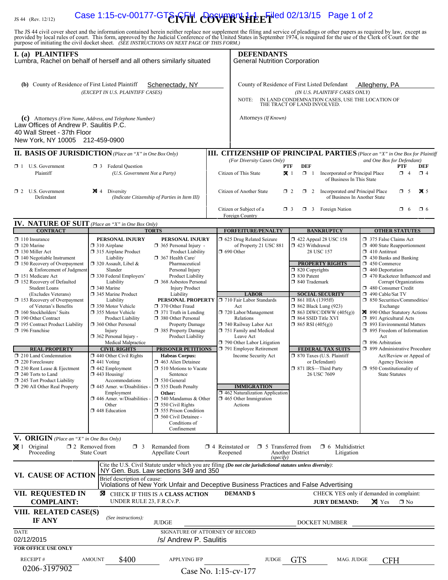# IS 44 (Rev. 12/12) **Case 1:15-cv-00177-GT&rvFH** *e***06VER'sHEET**iled 02/13/15 Page 1 of 2

The JS 44 civil cover sheet and the information contained herein neither replace nor supplement the filing and service of pleadings or other papers as required by law, except as provided by local rules of court. This form,

| I. (a) PLAINTIFFS<br>Lumbra, Rachel on behalf of herself and all others similarly situated                                                                                                                                                                                                          |                                                                                                                                                                                                                                                           |                                                                                                                                                                                                                                                                                                                            | <b>DEFENDANTS</b><br><b>General Nutrition Corporation</b>                                                                                                                                              |                                                                                                                                                                                                                      |                                                                                                                                                                                                                                                                                                   |
|-----------------------------------------------------------------------------------------------------------------------------------------------------------------------------------------------------------------------------------------------------------------------------------------------------|-----------------------------------------------------------------------------------------------------------------------------------------------------------------------------------------------------------------------------------------------------------|----------------------------------------------------------------------------------------------------------------------------------------------------------------------------------------------------------------------------------------------------------------------------------------------------------------------------|--------------------------------------------------------------------------------------------------------------------------------------------------------------------------------------------------------|----------------------------------------------------------------------------------------------------------------------------------------------------------------------------------------------------------------------|---------------------------------------------------------------------------------------------------------------------------------------------------------------------------------------------------------------------------------------------------------------------------------------------------|
| (b) County of Residence of First Listed Plaintiff<br>Schenectady, NY<br>(EXCEPT IN U.S. PLAINTIFF CASES)                                                                                                                                                                                            |                                                                                                                                                                                                                                                           |                                                                                                                                                                                                                                                                                                                            | County of Residence of First Listed Defendant<br>Allegheny, PA<br>(IN U.S. PLAINTIFF CASES ONLY)<br>IN LAND CONDEMNATION CASES, USE THE LOCATION OF<br>NOTE:<br>THE TRACT OF LAND INVOLVED.            |                                                                                                                                                                                                                      |                                                                                                                                                                                                                                                                                                   |
| (c) Attorneys (Firm Name, Address, and Telephone Number)<br>Law Offices of Andrew P. Saulitis P.C.<br>40 Wall Street - 37th Floor<br>New York, NY 10005 212-459-0900                                                                                                                                |                                                                                                                                                                                                                                                           |                                                                                                                                                                                                                                                                                                                            | Attorneys (If Known)                                                                                                                                                                                   |                                                                                                                                                                                                                      |                                                                                                                                                                                                                                                                                                   |
| <b>II. BASIS OF JURISDICTION</b> (Place an "X" in One Box Only)                                                                                                                                                                                                                                     |                                                                                                                                                                                                                                                           |                                                                                                                                                                                                                                                                                                                            |                                                                                                                                                                                                        |                                                                                                                                                                                                                      | <b>III. CITIZENSHIP OF PRINCIPAL PARTIES</b> (Place an "X" in One Box for Plaintiff                                                                                                                                                                                                               |
| $\Box$ 1 U.S. Government<br>Plaintiff                                                                                                                                                                                                                                                               | <b>3</b> Federal Question<br>(U.S. Government Not a Party)                                                                                                                                                                                                |                                                                                                                                                                                                                                                                                                                            | (For Diversity Cases Only)<br>Citizen of This State                                                                                                                                                    | <b>DEF</b><br>PTF<br>$\mathbf{X}$ 1<br>$\Box$ 1<br>Incorporated or Principal Place<br>of Business In This State                                                                                                      | and One Box for Defendant)<br>PTF<br>DEF<br>$\Box$ 4<br>$\Box$ 4                                                                                                                                                                                                                                  |
| $\Box$ 2 U.S. Government<br>Defendant                                                                                                                                                                                                                                                               | $\boxtimes$ 4 Diversity<br>(Indicate Citizenship of Parties in Item III)                                                                                                                                                                                  |                                                                                                                                                                                                                                                                                                                            | Citizen of Another State                                                                                                                                                                               | $\Box$ 2<br>$\Box$ 2 Incorporated <i>and</i> Principal Place<br>of Business In Another State                                                                                                                         | $\mathbf{\overline{M}}$ 5<br>$\Box$ 5                                                                                                                                                                                                                                                             |
|                                                                                                                                                                                                                                                                                                     |                                                                                                                                                                                                                                                           |                                                                                                                                                                                                                                                                                                                            | Citizen or Subject of a<br>Foreign Country                                                                                                                                                             | $\Box$ 3 Foreign Nation<br>$\Box$ 3                                                                                                                                                                                  | $\Box$ 6<br>$\Box$ 6                                                                                                                                                                                                                                                                              |
| <b>IV. NATURE OF SUIT</b> (Place an "X" in One Box Only)<br><b>CONTRACT</b>                                                                                                                                                                                                                         |                                                                                                                                                                                                                                                           | <b>TORTS</b>                                                                                                                                                                                                                                                                                                               | <b>FORFEITURE/PENALTY</b>                                                                                                                                                                              | <b>BANKRUPTCY</b>                                                                                                                                                                                                    | <b>OTHER STATUTES</b>                                                                                                                                                                                                                                                                             |
| $\Box$ 110 Insurance<br>$\Box$ 120 Marine<br>130 Miller Act<br>$\Box$ 140 Negotiable Instrument<br>$\Box$ 150 Recovery of Overpayment<br>& Enforcement of Judgment<br>151 Medicare Act<br>□ 152 Recovery of Defaulted<br><b>Student Loans</b><br>(Excludes Veterans)<br>153 Recovery of Overpayment | PERSONAL INJURY<br>$\Box$ 310 Airplane<br>315 Airplane Product<br>Liability<br>$\Box$ 320 Assault, Libel &<br>Slander<br>□ 330 Federal Employers'<br>Liability<br>□ 340 Marine<br>345 Marine Product<br>Liability                                         | PERSONAL INJURY<br>$\Box$ 365 Personal Injury -<br>Product Liability<br>367 Health Care/<br>Pharmaceutical<br>Personal Injury<br>Product Liability<br><b>1</b> 368 Asbestos Personal<br><b>Injury Product</b><br>Liability                                                                                                 | □ 625 Drug Related Seizure<br>of Property 21 USC 881<br>$\Box$ 690 Other<br><b>LABOR</b><br>PERSONAL PROPERTY   710 Fair Labor Standards                                                               | 158 152 422 Appeal 28 USC 158<br>$\Box$ 423 Withdrawal<br>28 USC 157<br><b>PROPERTY RIGHTS</b><br>$\Box$ 820 Copyrights<br>□ 830 Patent<br>$\Box$ 840 Trademark<br><b>SOCIAL SECURITY</b><br>$\Box$ 861 HIA (1395ff) | 375 False Claims Act<br>$\Box$ 400 State Reapportionment<br>$\Box$ 410 Antitrust<br>$\Box$ 430 Banks and Banking<br>450 Commerce<br>$\Box$ 460 Deportation<br>1 470 Racketeer Influenced and<br>Corrupt Organizations<br>480 Consumer Credit<br>490 Cable/Sat TV<br>□ 850 Securities/Commodities/ |
| of Veteran's Benefits<br>160 Stockholders' Suits<br>190 Other Contract<br>195 Contract Product Liability<br>196 Franchise                                                                                                                                                                           | □ 350 Motor Vehicle<br>□ 355 Motor Vehicle<br><b>Product Liability</b><br>360 Other Personal<br>Injury<br>$\Box$ 362 Personal Injury -<br>Medical Malpractice                                                                                             | 370 Other Fraud<br>$\Box$ 371 Truth in Lending<br>380 Other Personal<br><b>Property Damage</b><br>385 Property Damage<br>Product Liability                                                                                                                                                                                 | Act<br>720 Labor/Management<br>Relations<br>740 Railway Labor Act<br>751 Family and Medical<br>Leave Act<br>790 Other Labor Litigation                                                                 | <b>1</b> 862 Black Lung (923)<br>$\Box$ 863 DIWC/DIWW (405(g))<br>□ 864 SSID Title XVI<br>$\Box$ 865 RSI (405(g))                                                                                                    | Exchange<br>× 890 Other Statutory Actions<br>□ 891 Agricultural Acts<br>1 893 Environmental Matters<br>$\Box$ 895 Freedom of Information<br>Act<br>□ 896 Arbitration                                                                                                                              |
| <b>REAL PROPERTY</b><br>$\Box$ 210 Land Condemnation<br>220 Foreclosure<br>230 Rent Lease & Ejectment<br>$\Box$ 240 Torts to Land<br>245 Tort Product Liability<br>290 All Other Real Property                                                                                                      | <b>CIVIL RIGHTS</b><br>$\Box$ 440 Other Civil Rights<br>$\Box$ 441 Voting<br>$\Box$ 442 Employment<br>$\Box$ 443 Housing/<br>Accommodations<br>$\Box$ 445 Amer. w/Disabilities<br>Employment<br>$\Box$ 446 Amer. w/Disabilities<br>Other<br>448 Education | <b>PRISONER PETITIONS</b><br><b>Habeas Corpus:</b><br>$\Box$ 463 Alien Detainee<br>$\Box$ 510 Motions to Vacate<br>Sentence<br>$\Box$ 530 General<br>535 Death Penalty<br>Other:<br>$\Box$ 540 Mandamus & Other<br>$\Box$ 550 Civil Rights<br>555 Prison Condition<br>560 Civil Detainee -<br>Conditions of<br>Confinement | 791 Employee Retirement<br>Income Security Act<br><b>IMMIGRATION</b><br>462 Naturalization Application<br>$\Box$ 465 Other Immigration<br>Actions                                                      | <b>FEDERAL TAX SUITS</b><br>□ 870 Taxes (U.S. Plaintiff<br>or Defendant)<br>□ 871 IRS-Third Party<br>26 USC 7609                                                                                                     | □ 899 Administrative Procedure<br>Act/Review or Appeal of<br><b>Agency Decision</b><br>$\Box$ 950 Constitutionality of<br><b>State Statutes</b>                                                                                                                                                   |
| V. ORIGIN (Place an "X" in One Box Only)<br>$\boxtimes$ 1 Original<br>Proceeding                                                                                                                                                                                                                    | $\Box$ 2 Removed from<br>$\Box$ 3<br>State Court                                                                                                                                                                                                          | Remanded from<br>Appellate Court                                                                                                                                                                                                                                                                                           | $\Box$ 4 Reinstated or<br>□ 5 Transferred from<br>Reopened<br>(specify)                                                                                                                                | $\Box$ 6 Multidistrict<br>Another District<br>Litigation                                                                                                                                                             |                                                                                                                                                                                                                                                                                                   |
| VI. CAUSE OF ACTION                                                                                                                                                                                                                                                                                 | Brief description of cause:                                                                                                                                                                                                                               | NY Gen. Bus. Law sections 349 and 350                                                                                                                                                                                                                                                                                      | Cite the U.S. Civil Statute under which you are filing (Do not cite jurisdictional statutes unless diversity):<br>Violations of New York Unfair and Deceptive Business Practices and False Advertising |                                                                                                                                                                                                                      |                                                                                                                                                                                                                                                                                                   |
| VII. REQUESTED IN<br><b>X</b> CHECK IF THIS IS A CLASS ACTION<br><b>COMPLAINT:</b><br>UNDER RULE 23, F.R.Cv.P.                                                                                                                                                                                      |                                                                                                                                                                                                                                                           |                                                                                                                                                                                                                                                                                                                            | <b>DEMAND</b> \$                                                                                                                                                                                       | <b>JURY DEMAND:</b>                                                                                                                                                                                                  | CHECK YES only if demanded in complaint:<br>$\times$ Yes<br>$\square$ No                                                                                                                                                                                                                          |
| VIII. RELATED CASE(S)<br>(See instructions):<br>IF ANY<br><b>JUDGE</b>                                                                                                                                                                                                                              |                                                                                                                                                                                                                                                           |                                                                                                                                                                                                                                                                                                                            | DOCKET NUMBER                                                                                                                                                                                          |                                                                                                                                                                                                                      |                                                                                                                                                                                                                                                                                                   |
| <b>DATE</b><br>02/12/2015<br><b>FOR OFFICE USE ONLY</b>                                                                                                                                                                                                                                             |                                                                                                                                                                                                                                                           | SIGNATURE OF ATTORNEY OF RECORD<br>/s/ Andrew P. Saulitis                                                                                                                                                                                                                                                                  |                                                                                                                                                                                                        |                                                                                                                                                                                                                      |                                                                                                                                                                                                                                                                                                   |
| RECEIPT#<br>0206-3197902                                                                                                                                                                                                                                                                            | \$400<br><b>AMOUNT</b>                                                                                                                                                                                                                                    | <b>APPLYING IFP</b>                                                                                                                                                                                                                                                                                                        | <b>JUDGE</b><br>Case No. 1:15-cv-177                                                                                                                                                                   | <b>GTS</b><br>MAG. JUDGE                                                                                                                                                                                             | <b>CFH</b>                                                                                                                                                                                                                                                                                        |